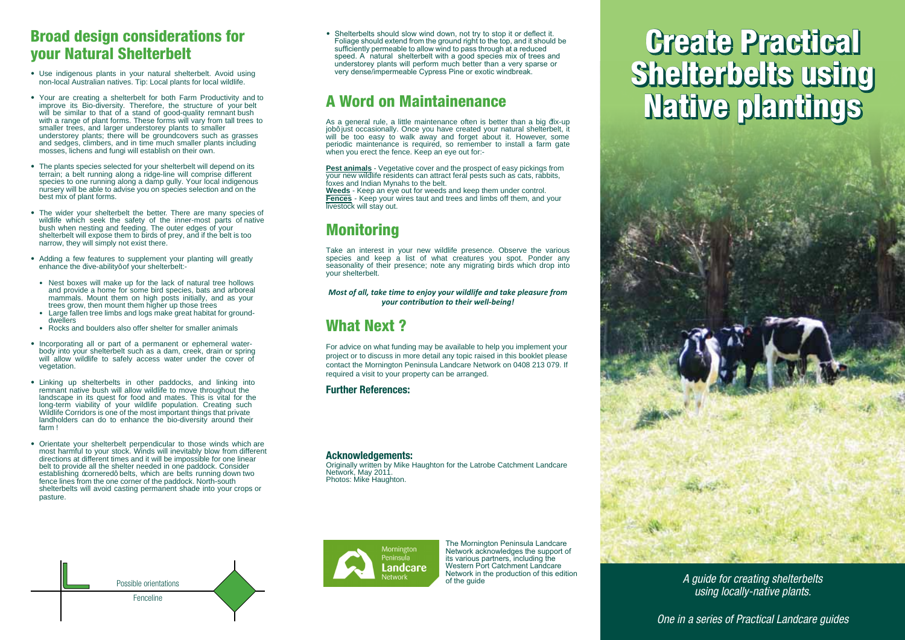### **Broad design considerations for vour Natural Shelterbelt**

- W•^Áä}åä\*^}[~•Á]|æ}c•Áä}Á^[~¦Á}æc~¦æ|Á•@^|c^¦à^|cÈÁŒc[äåÁ~•ä}\*Á } [} E| [ & æ| ÁCE \* • c | æ| åæ| A } æ các ^ • EA Va ] KÁŠ [ & æ| A ] | æ } c • A- [ 'A| [ & æ| A ] a a]a- ^ E
- 
- , app ar n = { app in C | n cueben | h an = ca } an | h ^ | | at<br>
, a@hadd, ap \* n A[, 1] | gp } cd, [ { c = k}V@ e n, [ | { c = k = j|| kca ; ^ h = k = [ kca]| kc] ^^ = kc[ k<br>
e &@hadd, ap \* n A[, 1] ap } c=U,c@^1
- W@^A]]æ}crh=]^&i^ehe^|^&c^ai\_[';h^['";he@^|c^}à^|aj|jkà^]^}à|{]}kiceh<br>|c^{;æ}}Ukækà^|a'|{}^}}}\*;hæ|[}\*;kæk;ia\*^E|i}^A\_i]|k&[{{];ie^A;ái~^;^}ol<br>|e^{;&}~e[i,h[}^A;|'}}i}\*;hæ|[}\*;hækaæ{[j]^^\_||^EkY[';h|[&æ|ki}ài\*^}[`\*;h<br>}{=
- G @ ^|c^{à^|c}, {||^^&} [ =^^{c}} ^{\}}}} (x^{}} }^{`E}{æ} à}{3^{c}}^{\}} ^{\}}<br>}æ'}{ [ ; E}{c@^^^{}, {||}^@ ] [ =^^{c}}^{\}}} (x^{}} à}{3^{x}}}} }^{`E}{æ} à}{3^{x}{&^}{a`^{\}}} ^{\}
- ᡬEââi}\*ÁæÁ∽ Á-^æcˇ¦^•Ác[Á•~ ]]|^{^}cÁ^[\*iÁ]|æ}ci}\*Á¸ä||Á\*¦^æc|^Á<br>^}@æ}&^Ác@^¦|jc^Éæài]äc^+Á[-Á^|`}&•@^|c^¦à^|cKE
- في محمد عليه المحمد عليه المحمد عليه المحمد عليه المحمد عليه المحمد عليه المحمد عليه المحمد عليه المحمد عليه<br>والمحمد عليه المحمد عليه المحمد عليه المحمد عليه المحمد عليه المحمد عليه المحمد عليه المحمد عليه المحمد عليه ا
- $\Lambda || \Lambda ||_0$
- Üİ&\\*\*@}åÁà[ `|å^¦\*Áæ]\*[Á[~^¦Á\*@^|c^¦Á~[¦Á\* { æ||^¦Áæ}{{ æl\*
- € 1} Assa\_À|æ|} ^} ^@[^À!]Ào{^{æ}}¦^[ÀæÀ-]Ào}æ[Å!]À||æ}Å\* [å¤][¦]&}{<br>Å\* {ة![●Å!]À{äs}åå}^^!&Å} æå}æå}æå@\*}~@\o|^á¦^o|^@●Ŧ´]^À]o{ä^à]á u Lu Helpel II Lin-e proposer per personandas (proposer la Ballass) A Lin-1 [3]<br>|alla sil[ J. A. aldia-Al o [A = æ-A] "A æ&&^ = = A \_ æc^l A \_ } â^l A c@^A & [ ç^l A [-A<br>|c^\*^cæ@[ } E
- $\label{eq:20} \begin{array}{ll} \delta_1\circ\delta_1:\delta_1^*\circ\delta_1^*\circ\delta_2^*\circ\delta_3^*\circ\delta_4^*\circ\delta_5^*\circ\delta_6^*\circ\delta_7^*\circ\delta_7^*\circ\delta_7^*\circ\delta_7^*\circ\delta_7^*\circ\delta_7^*\circ\delta_7^*\circ\delta_7^*\circ\delta_7^*\circ\delta_7^*\circ\delta_7^*\circ\delta_7^*\circ\delta_7^*\circ\delta_7^*\circ\delta_7^*\circ\delta_7^*\circ\delta_7^*\circ\delta_7^*\circ\delta_7^*\circ\delta_7^*\circ\delta_7^*\$ ، المواطنة المعروفية المواطنة (1, 1984) [1, 1984) [A-2014 |A-2014] [A-2014] [1, 1984) [1, 1984]<br>|A-360 A5 ( ` ] is k^0 ^ai [Eãiç^i •ic^i ai [Eãiç^i •ic^i ai [[a]o k] â k] (a38 k •i^@]] @6 { sa]<br>| Ai } ise:{{Ai
- Wish Coment ^ [\*it = @^|c^ià^|ch ]^})}àna \*|mito[to@[•^t i}à=t @ia@kmi^t<br>{[•ck@mi{~|ko[A^[\*itec]&\Ex^i}à=t a||ki}^cacma|^ka][^k-i[{kai-^i^}ch<br>ai^&ci[}•kmokai-^!^}cki{^•km}àdxh}a||ka^ki{][••aa|^k-[it[}^k|j}^amito<br>a^|colo[  $1ae^x$   $1e^x$

Possible orientations

Fenceline

• Shelterbelts should slow wind down, not try to stop it or deflect it. Foliage should extend from the ground right to the top, and it should be sufficiently permeable to allow wind to pass through at a reduced speed. A natural shelterbelt with a good species mix of trees and understorey plants will perform much better than a very sparse or very dense/impermeable Cypress Pine or exotic windbreak.

## **A Word on Maintainenance**

ΥÁæÁ\*^}^¦æ|Á¦`{^ÉÁæÁ|ĝoq^Á{æä}c^}æ}&^Á[-c^}Áä•Áà^ox^¦Ác@æ}ÁæÁæ`{`]Á<br>b[à+Áb`•c√[&&æ•å[}æ||`ÉÅU}&^À^[`Á@æç^Á&{^æc^âÀ^[`'jÁ}æç`¦æ|^@^|c^}à^|cÉÁæ(<br>{`a|}Á à^A c[[A ^æ•^Åc]{^\_& @}\A æ 2^{@}}^\_{|`^c/\æã[`có àcÉAP[^\_^c^;}ä^|cÉÁæ{

<u>DYgh'Ub]a U`g</u>kÉlX^\*^cæciç^k&{c^!ke}åk@^k];[•]^&ck[+^ze•^k]i&\i}\*•k;[{*k*<br>^{``{`\*}^ k\_i]a]}~^k|^•ia^}c•k&æ}kæcc¦æ&ck-^;æ|k]^•c•k•`&@kæ•k&æc•Ek|æaaic•Ek<br>~{@^•ke}alk}åiæ}}{T^}æ@•kç[ke@^kà^|ck<br>KYXQ{kES^^]&`{^{{``{&\_i}\^^^A[

# **Monitorina**

Væ\^Áæ}Áã}c^¦^•cÁã}Á^[~'Á}^ Å {ã|å^Á]¦^•^}&^ÈÁUà•^¦ç^Ác@^Áçæ¦ã[~•Á - ] ^ 32^ + { a } ^ 31 \ ^ ^ 1 { a } { a } \ ^ ^ 1 { a } { a } \ ^ ^ 1 { a } { a } ^ { a } ^ { a } ^ { a } ^ { a } ^ { a } ^ { a } ^ { a } ^ { a } ^ { a } ^ { a } ^ { a } ^ { a } ^ { a } ^ { a } ^ { a } ^ { a } ^ { a } ^ { 1º 14 · @^|c^|à^|ct

Most of all, take time to enjoy your wildlife and take pleasure from your contribution to their well-being!

## **What Next?**

ØJ¦Áæåçå&^ÁJ}Á \_@æcÁ~~}åå}\*Á{æ^Áà^Áæçæå|æà|^ÁcJÁ@^|]Á^J~Áå{]|^{^}cÁ^J~¦Å 1 | [b^&cÁ[ ¦Ác[Áåã∙& ˇ ●●Áä}Á { [¦^Áå^cæälÁæ}^Ác[ 1ä&Á¦æã●^åÁä}Ác@ã●Áà [ [ \|^cÁ1|^æ●^Á &[}cæ&cÁc@^ĂT[¦}ǎ}\*c[}ÁÙ^}ǎ}•\*|æÁŠæ}å&æ]^ÁÞ^c [¦\Á[}Á∈I∈ÌÁGFHÁ∈ÏJÈÁQ+ In  $\sim$  along the second of  $\sim$  12.11 F 10 is a second second the last  $\sim$  of  $\sim$ 

### **Further References:**

Mornington Peninsula Landcare Network https://www.mplandcare.org.au/revegetation

Mornington Peninsula Shire https://www.mornpen.vic.gov.au/ Environment/Natural-Environment-Biodiversity/Plants-of-the-Peninsula

#### **Acknowledgements:**

 $U^{\frac{1}{2}*\frac{1}{2}}$  and  $\frac{1}{2}$   $\frac{1}{2}$   $\frac{1}{2}$   $\frac{1}{2}$   $\frac{1}{2}$   $\frac{1}{2}$   $\frac{1}{2}$   $\frac{1}{2}$   $\frac{1}{2}$   $\frac{1}{2}$   $\frac{1}{2}$   $\frac{1}{2}$   $\frac{1}{2}$   $\frac{1}{2}$   $\frac{1}{2}$   $\frac{1}{2}$   $\frac{1}{2}$   $\frac{1}{2}$   $\frac{1}{2}$   $\frac{1}{2}$ Þ^c [¦\LATæ^AG€FFE Ú@[ct-KATa\^APæ\*\*@ct}E



The Mornington Peninsula Landcare Network acknowledges the support of its various partners. including the Western Port Catchment Landcare Network in the production of this edition of the guide

# **Create Practical Shelterbelts using Native plantings**



A guide for creating shelterbelts using locally-native plants.